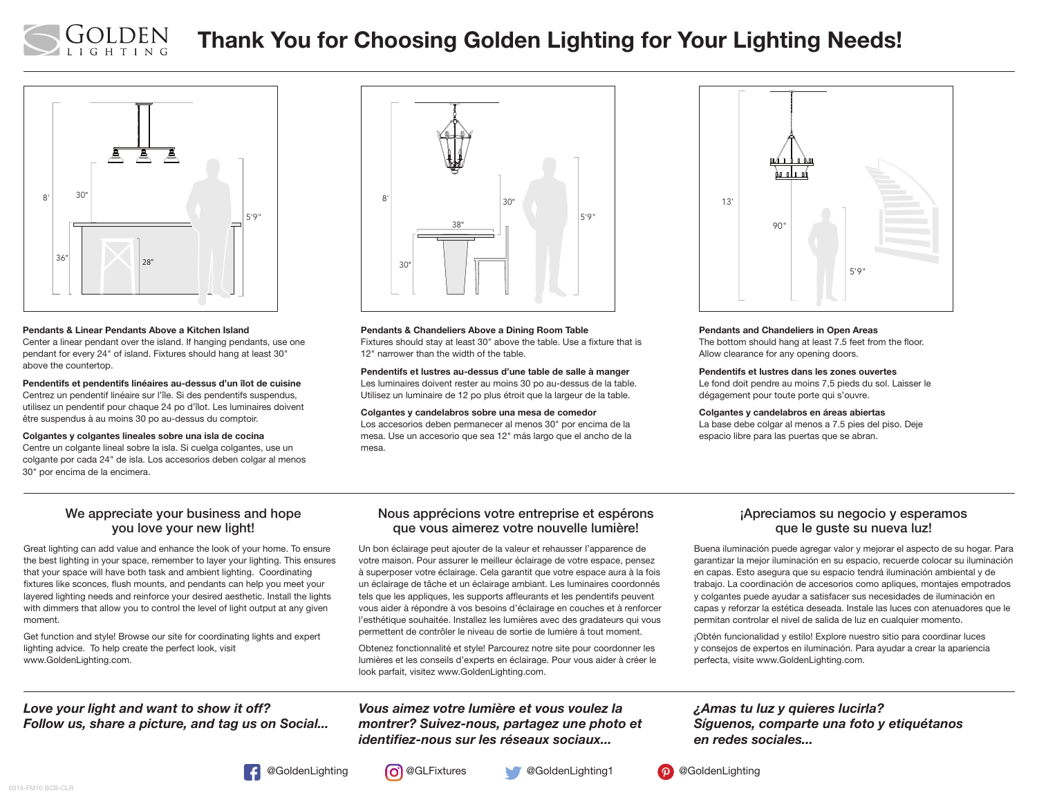

# Thank You for Choosing Golden Lighting for Your Lighting Needs!



#### Pendants & Linear Pendants Above a Kitchen Island

Center a linear pendant over the island. If hanging pendants, use one pendant for every 24" of island. Fixtures should hang at least 30" above the countertop.

Pendentifs et pendentifs linéaires au-dessus d'un îlot de cuisine Centrez un pendentif linéaire sur l'île. Si des pendentifs suspendus, utilisez un pendentif pour chaque 24 po d'îlot. Les luminaires doivent être suspendus à au moins 30 po au-dessus du comptoir.

#### Colgantes y colgantes lineales sobre una isla de cocina

Centre un colgante lineal sobre la isla. Si cuelga colgantes, use un colgante por cada 24" de isla. Los accesorios deben colgar al menos 30" por encima de la encimera.



Pendants & Chandeliers Above a Dining Room Table Fixtures should stay at least 30" above the table. Use a fixture that is 12" narrower than the width of the table.

Pendentifs et lustres au-dessus d'une table de salle à manger Les luminaires doivent rester au moins 30 po au-dessus de la table. Utilisez un luminaire de 12 po plus étroit que la largeur de la table.

Colgantes y candelabros sobre una mesa de comedor

Los accesorios deben permanecer al menos 30" por encima de la mesa. Use un accesorio que sea 12" más largo que el ancho de la mesa.



#### Pendants and Chandeliers in Open Areas

The bottom should hang at least 7.5 feet from the floor. Allow clearance for any opening doors.

#### Pendentifs et lustres dans les zones ouvertes

Le fond doit pendre au moins 7,5 pieds du sol. Laisser le dégagement pour toute porte qui s'ouvre.

#### Colgantes y candelabros en áreas abiertas

La base debe colgar al menos a 7.5 pies del piso. Deje espacio libre para las puertas que se abran.

#### We appreciate your business and hope you love your new light!

Great lighting can add value and enhance the look of your home. To ensure the best lighting in your space, remember to layer your lighting. This ensures that your space will have both task and ambient lighting. Coordinating fixtures like sconces, flush mounts, and pendants can help you meet your layered lighting needs and reinforce your desired aesthetic. Install the lights with dimmers that allow you to control the level of light output at any given moment.

Get function and style! Browse our site for coordinating lights and expert lighting advice. To help create the perfect look, visit www.GoldenLighting.com.

### *Love your light and want to show it off? Follow us, share a picture, and tag us on Social...*

#### Nous apprécions votre entreprise et espérons que vous aimerez votre nouvelle lumière!

Un bon éclairage peut ajouter de la valeur et rehausser l'apparence de votre maison. Pour assurer le meilleur éclairage de votre espace, pensez à superposer votre éclairage. Cela garantit que votre espace aura à la fois un éclairage de tâche et un éclairage ambiant. Les luminaires coordonnés tels que les appliques, les supports affleurants et les pendentifs peuvent vous aider à répondre à vos besoins d'éclairage en couches et à renforcer l'esthétique souhaitée. Installez les lumières avec des gradateurs qui vous permettent de contrôler le niveau de sortie de lumière à tout moment.

Obtenez fonctionnalité et style! Parcourez notre site pour coordonner les lumières et les conseils d'experts en éclairage. Pour vous aider à créer le look parfait, visitez www.GoldenLighting.com.

#### *Vous aimez votre lumière et vous voulez la montrer? Suivez-nous, partagez une photo et identifiez-nous sur les réseaux sociaux...*

#### ¡Apreciamos su negocio y esperamos que le guste su nueva luz!

Buena iluminación puede agregar valor y mejorar el aspecto de su hogar. Para garantizar la mejor iluminación en su espacio, recuerde colocar su iluminación en capas. Esto asegura que su espacio tendrá iluminación ambiental y de trabajo. La coordinación de accesorios como apliques, montajes empotrados y colgantes puede ayudar a satisfacer sus necesidades de iluminación en capas y reforzar la estética deseada. Instale las luces con atenuadores que le permitan controlar el nivel de salida de luz en cualquier momento.

¡Obtén funcionalidad y estilo! Explore nuestro sitio para coordinar luces y consejos de expertos en iluminación. Para ayudar a crear la apariencia perfecta, visite www.GoldenLighting.com.

### *¿Amas tu luz y quieres lucirla? Síguenos, comparte una foto y etiquétanos en redes sociales...*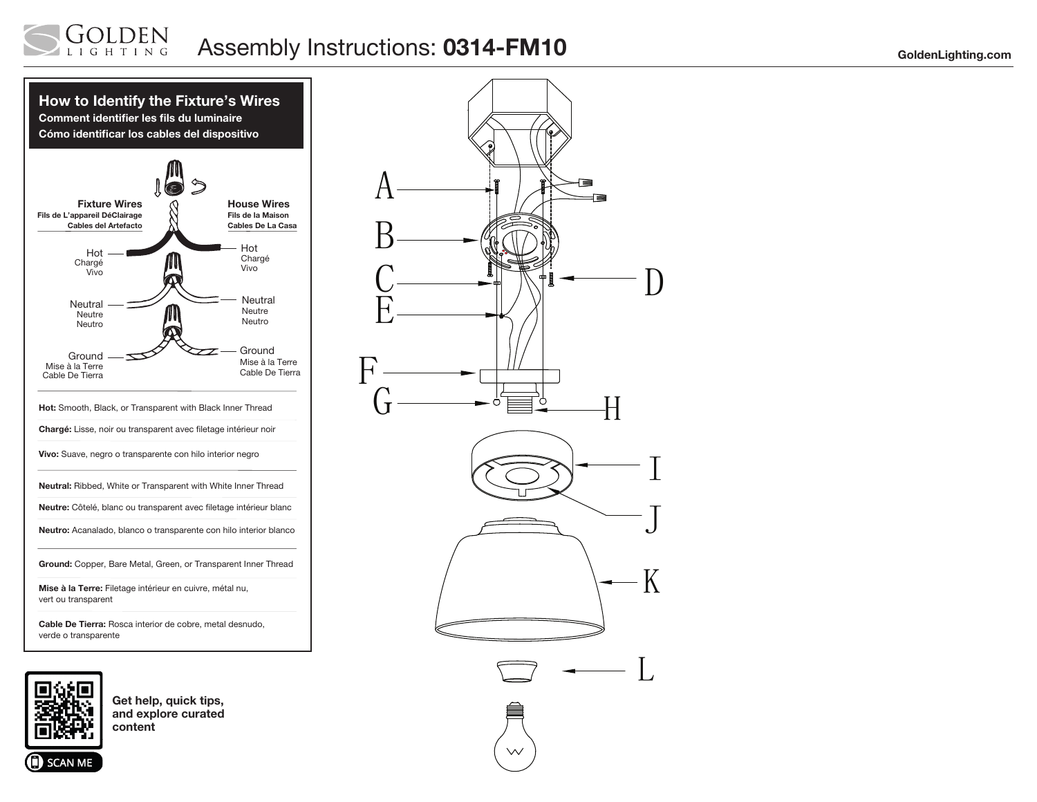#### LDEN Assembly Instructions: 0314-FM10 GoldenLighting.com GHTING



Cable De Tierra: Rosca interior de cobre, metal desnudo, verde o transparente



**SCAN ME** 

Get help, quick tips, and explore curated content



 $\vee$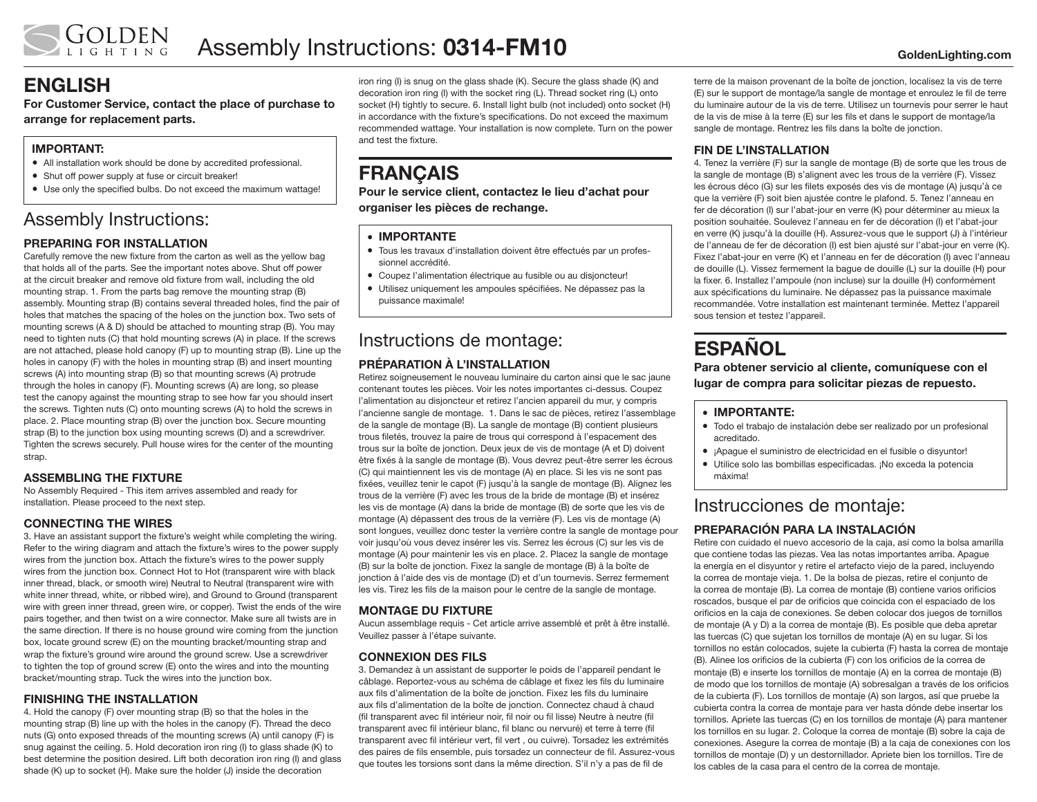## ENGLISH

For Customer Service, contact the place of purchase to arrange for replacement parts.

### IMPORTANT:

- All installation work should be done by accredited professional.
- Shut off power supply at fuse or circuit breaker!
- Use only the specified bulbs. Do not exceed the maximum wattage!

## Assembly Instructions:

### PREPARING FOR INSTALLATION

Carefully remove the new fixture from the carton as well as the yellow bag that holds all of the parts. See the important notes above. Shut off power at the circuit breaker and remove old fixture from wall, including the old mounting strap. 1. From the parts bag remove the mounting strap (B) assembly. Mounting strap (B) contains several threaded holes, find the pair of holes that matches the spacing of the holes on the junction box. Two sets of mounting screws (A & D) should be attached to mounting strap (B). You may need to tighten nuts (C) that hold mounting screws (A) in place. If the screws are not attached, please hold canopy (F) up to mounting strap (B). Line up the holes in canopy (F) with the holes in mounting strap (B) and insert mounting screws (A) into mounting strap (B) so that mounting screws (A) protrude through the holes in canopy (F). Mounting screws (A) are long, so please test the canopy against the mounting strap to see how far you should insert the screws. Tighten nuts (C) onto mounting screws (A) to hold the screws in place. 2. Place mounting strap (B) over the junction box. Secure mounting strap (B) to the junction box using mounting screws (D) and a screwdriver. Tighten the screws securely. Pull house wires for the center of the mounting strap.

#### ASSEMBLING THE FIXTURE

No Assembly Required - This item arrives assembled and ready for installation. Please proceed to the next step.

#### CONNECTING THE WIRES

3. Have an assistant support the fixture's weight while completing the wiring. Refer to the wiring diagram and attach the fixture's wires to the power supply wires from the junction box. Attach the fixture's wires to the power supply wires from the junction box. Connect Hot to Hot (transparent wire with black inner thread, black, or smooth wire) Neutral to Neutral (transparent wire with white inner thread, white, or ribbed wire), and Ground to Ground (transparent wire with green inner thread, green wire, or copper). Twist the ends of the wire pairs together, and then twist on a wire connector. Make sure all twists are in the same direction. If there is no house ground wire coming from the junction box, locate ground screw (E) on the mounting bracket/mounting strap and wrap the fixture's ground wire around the ground screw. Use a screwdriver to tighten the top of ground screw (E) onto the wires and into the mounting bracket/mounting strap. Tuck the wires into the junction box.

#### FINISHING THE INSTALLATION

4. Hold the canopy (F) over mounting strap (B) so that the holes in the mounting strap (B) line up with the holes in the canopy (F). Thread the deco nuts (G) onto exposed threads of the mounting screws (A) until canopy (F) is snug against the ceiling. 5. Hold decoration iron ring (I) to glass shade (K) to best determine the position desired. Lift both decoration iron ring (I) and glass shade (K) up to socket (H). Make sure the holder (J) inside the decoration

iron ring (I) is snug on the glass shade (K). Secure the glass shade (K) and decoration iron ring (I) with the socket ring (L). Thread socket ring (L) onto socket (H) tightly to secure. 6. Install light bulb (not included) onto socket (H) in accordance with the fixture's specifications. Do not exceed the maximum recommended wattage. Your installation is now complete. Turn on the power and test the fixture.

## **FRANCAIS**

Pour le service client, contactez le lieu d'achat pour organiser les pièces de rechange.

#### • IMPORTANTE

- Tous les travaux d'installation doivent être effectués par un professionnel accrédité.
- Coupez l'alimentation électrique au fusible ou au disjoncteur!
- Utilisez uniquement les ampoules spécifiées. Ne dépassez pas la puissance maximale!

## Instructions de montage:

#### PRÉPARATION À L'INSTALLATION

Retirez soigneusement le nouveau luminaire du carton ainsi que le sac jaune contenant toutes les pièces. Voir les notes importantes ci-dessus. Coupez l'alimentation au disjoncteur et retirez l'ancien appareil du mur, y compris l'ancienne sangle de montage. 1. Dans le sac de pièces, retirez l'assemblage de la sangle de montage (B). La sangle de montage (B) contient plusieurs trous filetés, trouvez la paire de trous qui correspond à l'espacement des trous sur la boîte de jonction. Deux jeux de vis de montage (A et D) doivent être fixés à la sangle de montage (B). Vous devrez peut-être serrer les écrous (C) qui maintiennent les vis de montage (A) en place. Si les vis ne sont pas fixées, veuillez tenir le capot (F) jusqu'à la sangle de montage (B). Alignez les trous de la verrière (F) avec les trous de la bride de montage (B) et insérez les vis de montage (A) dans la bride de montage (B) de sorte que les vis de montage (A) dépassent des trous de la verrière (F). Les vis de montage (A) sont longues, veuillez donc tester la verrière contre la sangle de montage pour voir jusqu'où vous devez insérer les vis. Serrez les écrous (C) sur les vis de montage (A) pour maintenir les vis en place. 2. Placez la sangle de montage (B) sur la boîte de jonction. Fixez la sangle de montage (B) à la boîte de jonction à l'aide des vis de montage (D) et d'un tournevis. Serrez fermement les vis. Tirez les fils de la maison pour le centre de la sangle de montage.

#### MONTAGE DU FIXTURE

Aucun assemblage requis - Cet article arrive assemblé et prêt à être installé. Veuillez passer à l'étape suivante.

#### CONNEXION DES FILS

3. Demandez à un assistant de supporter le poids de l'appareil pendant le câblage. Reportez-vous au schéma de câblage et fixez les fils du luminaire aux fils d'alimentation de la boîte de jonction. Fixez les fils du luminaire aux fils d'alimentation de la boîte de jonction. Connectez chaud à chaud (fil transparent avec fil intérieur noir, fil noir ou fil lisse) Neutre à neutre (fil transparent avec fil intérieur blanc, fil blanc ou nervuré) et terre à terre (fil transparent avec fil intérieur vert, fil vert , ou cuivre). Torsadez les extrémités des paires de fils ensemble, puis torsadez un connecteur de fil. Assurez-vous que toutes les torsions sont dans la même direction. S'il n'y a pas de fil de

terre de la maison provenant de la boîte de jonction, localisez la vis de terre (E) sur le support de montage/la sangle de montage et enroulez le fil de terre du luminaire autour de la vis de terre. Utilisez un tournevis pour serrer le haut de la vis de mise à la terre (E) sur les fils et dans le support de montage/la sangle de montage. Rentrez les fils dans la boîte de jonction.

#### FIN DE L'INSTALLATION

4. Tenez la verrière (F) sur la sangle de montage (B) de sorte que les trous de la sangle de montage (B) s'alignent avec les trous de la verrière (F). Vissez les écrous déco (G) sur les filets exposés des vis de montage (A) jusqu'à ce que la verrière (F) soit bien ajustée contre le plafond. 5. Tenez l'anneau en fer de décoration (I) sur l'abat-jour en verre (K) pour déterminer au mieux la position souhaitée. Soulevez l'anneau en fer de décoration (I) et l'abat-jour en verre (K) jusqu'à la douille (H). Assurez-vous que le support (J) à l'intérieur de l'anneau de fer de décoration (I) est bien ajusté sur l'abat-jour en verre (K). Fixez l'abat-jour en verre (K) et l'anneau en fer de décoration (I) avec l'anneau de douille (L). Vissez fermement la bague de douille (L) sur la douille (H) pour la fixer. 6. Installez l'ampoule (non incluse) sur la douille (H) conformément aux spécifications du luminaire. Ne dépassez pas la puissance maximale recommandée. Votre installation est maintenant terminée. Mettez l'appareil sous tension et testez l'appareil.

# **ESPAÑOL**

Para obtener servicio al cliente, comuníquese con el lugar de compra para solicitar piezas de repuesto.

#### • IMPORTANTE:

- Todo el trabajo de instalación debe ser realizado por un profesional acreditado.
- ¡Apague el suministro de electricidad en el fusible o disyuntor!
- Utilice solo las bombillas especificadas. ¡No exceda la potencia máxima!

## Instrucciones de montaje:

### PREPARACIÓN PARA LA INSTALACIÓN

Retire con cuidado el nuevo accesorio de la caja, así como la bolsa amarilla que contiene todas las piezas. Vea las notas importantes arriba. Apague la energía en el disyuntor y retire el artefacto viejo de la pared, incluyendo la correa de montaje vieja. 1. De la bolsa de piezas, retire el conjunto de la correa de montaje (B). La correa de montaje (B) contiene varios orificios roscados, busque el par de orificios que coincida con el espaciado de los orificios en la caja de conexiones. Se deben colocar dos juegos de tornillos de montaje (A y D) a la correa de montaje (B). Es posible que deba apretar las tuercas (C) que sujetan los tornillos de montaje (A) en su lugar. Si los tornillos no están colocados, sujete la cubierta (F) hasta la correa de montaje (B). Alinee los orificios de la cubierta (F) con los orificios de la correa de montaje (B) e inserte los tornillos de montaje (A) en la correa de montaje (B) de modo que los tornillos de montaje (A) sobresalgan a través de los orificios de la cubierta (F). Los tornillos de montaje (A) son largos, así que pruebe la cubierta contra la correa de montaje para ver hasta dónde debe insertar los tornillos. Apriete las tuercas (C) en los tornillos de montaje (A) para mantener los tornillos en su lugar. 2. Coloque la correa de montaje (B) sobre la caja de conexiones. Asegure la correa de montaje (B) a la caja de conexiones con los tornillos de montaje (D) y un destornillador. Apriete bien los tornillos. Tire de los cables de la casa para el centro de la correa de montaje.